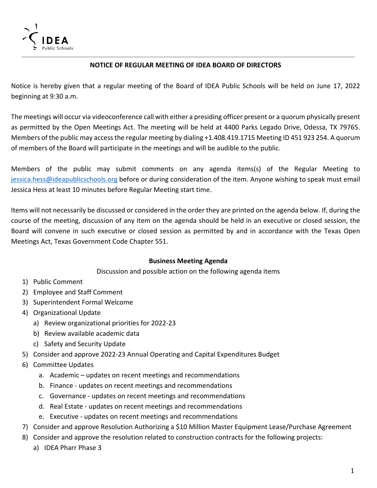

## **NOTICE OF REGULAR MEETING OF IDEA BOARD OF DIRECTORS**

Notice is hereby given that a regular meeting of the Board of IDEA Public Schools will be held on June 17, 2022 beginning at 9:30 a.m.

The meetings will occur via videoconference call with either a presiding officer present or a quorum physically present as permitted by the Open Meetings Act. The meeting will be held at 4400 Parks Legado Drive, Odessa, TX 79765. Members of the public may access the regular meeting by dialing +1.408.419.1715 Meeting ID 451 923 254. A quorum of members of the Board will participate in the meetings and will be audible to the public.

Members of the public may submit comments on any agenda items(s) of the Regular Meeting to [jessica.hess@ideapublicschools.org](mailto:jessica.hess@ideapublicschools.org) before or during consideration of the item. Anyone wishing to speak must email Jessica Hess at least 10 minutes before Regular Meeting start time.

Items will not necessarily be discussed or considered in the order they are printed on the agenda below. If, during the course of the meeting, discussion of any item on the agenda should be held in an executive or closed session, the Board will convene in such executive or closed session as permitted by and in accordance with the Texas Open Meetings Act, Texas Government Code Chapter 551.

## **Business Meeting Agenda**

Discussion and possible action on the following agenda items

- 1) Public Comment
- 2) Employee and Staff Comment
- 3) Superintendent Formal Welcome
- 4) Organizational Update
	- a) Review organizational priorities for 2022-23
	- b) Review available academic data
	- c) Safety and Security Update
- 5) Consider and approve 2022-23 Annual Operating and Capital Expenditures Budget
- 6) Committee Updates
	- a. Academic updates on recent meetings and recommendations
	- b. Finance updates on recent meetings and recommendations
	- c. Governance updates on recent meetings and recommendations
	- d. Real Estate updates on recent meetings and recommendations
	- e. Executive updates on recent meetings and recommendations
- 7) Consider and approve Resolution Authorizing a \$10 Million Master Equipment Lease/Purchase Agreement
- 8) Consider and approve the resolution related to construction contracts for the following projects:
	- a) IDEA Pharr Phase 3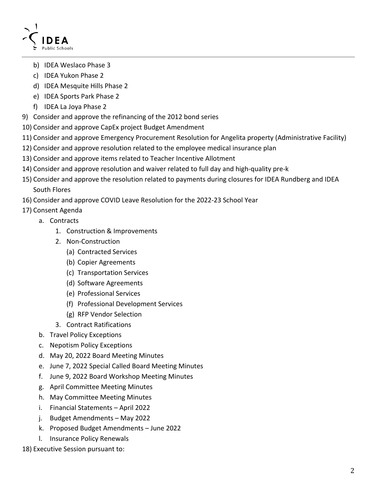

- b) IDEA Weslaco Phase 3
- c) IDEA Yukon Phase 2
- d) IDEA Mesquite Hills Phase 2
- e) IDEA Sports Park Phase 2
- f) IDEA La Joya Phase 2
- 9) Consider and approve the refinancing of the 2012 bond series
- 10) Consider and approve CapEx project Budget Amendment
- 11) Consider and approve Emergency Procurement Resolution for Angelita property (Administrative Facility)
- 12) Consider and approve resolution related to the employee medical insurance plan
- 13) Consider and approve items related to Teacher Incentive Allotment
- 14) Consider and approve resolution and waiver related to full day and high-quality pre-k
- 15) Consider and approve the resolution related to payments during closures for IDEA Rundberg and IDEA South Flores
- 16) Consider and approve COVID Leave Resolution for the 2022-23 School Year
- 17) Consent Agenda
	- a. Contracts
		- 1. Construction & Improvements
		- 2. Non-Construction
			- (a) Contracted Services
			- (b) Copier Agreements
			- (c) Transportation Services
			- (d) Software Agreements
			- (e) Professional Services
			- (f) Professional Development Services
			- (g) RFP Vendor Selection
		- 3. Contract Ratifications
		- b. Travel Policy Exceptions
		- c. Nepotism Policy Exceptions
		- d. May 20, 2022 Board Meeting Minutes
		- e. June 7, 2022 Special Called Board Meeting Minutes
		- f. June 9, 2022 Board Workshop Meeting Minutes
		- g. April Committee Meeting Minutes
		- h. May Committee Meeting Minutes
		- i. Financial Statements April 2022
		- j. Budget Amendments May 2022
		- k. Proposed Budget Amendments June 2022
		- l. Insurance Policy Renewals
- 18) Executive Session pursuant to: